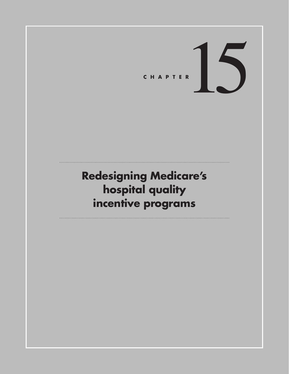CHAPTER<sup>15</sup>

# **Redesigning Medicare's hospital quality incentive programs**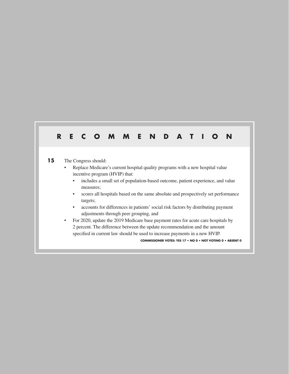# **RECOMMENDATION**

#### 15 The Congress should:

- Replace Medicare's current hospital quality programs with a new hospital value incentive program (HVIP) that:
	- includes a small set of population-based outcome, patient experience, and value measures;
	- scores all hospitals based on the same absolute and prospectively set performance targets;
	- accounts for differences in patients' social risk factors by distributing payment adjustments through peer grouping, and
- For 2020, update the 2019 Medicare base payment rates for acute care hospitals by 2 percent. The difference between the update recommendation and the amount specified in current law should be used to increase payments in a new HVIP.

**COMMISSIONER VOTES: YES 17 • NO 0 • NOT VOTING 0 • ABSENT 0**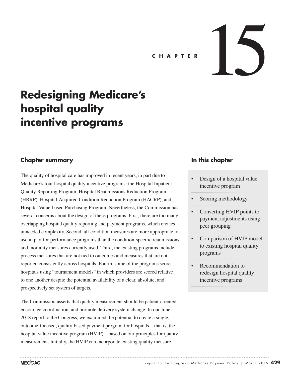# CHAPTER **15**

# **Redesigning Medicare's hospital quality incentive programs**

# **Chapter summary**

The quality of hospital care has improved in recent years, in part due to Medicare's four hospital quality incentive programs: the Hospital Inpatient Quality Reporting Program, Hospital Readmissions Reduction Program (HRRP), Hospital-Acquired Condition Reduction Program (HACRP), and Hospital Value-based Purchasing Program. Nevertheless, the Commission has several concerns about the design of these programs. First, there are too many overlapping hospital quality reporting and payment programs, which creates unneeded complexity. Second, all-condition measures are more appropriate to use in pay-for-performance programs than the condition-specific readmissions and mortality measures currently used. Third, the existing programs include process measures that are not tied to outcomes and measures that are not reported consistently across hospitals. Fourth, some of the programs score hospitals using "tournament models" in which providers are scored relative to one another despite the potential availability of a clear, absolute, and prospectively set system of targets.

The Commission asserts that quality measurement should be patient oriented, encourage coordination, and promote delivery system change. In our June 2018 report to the Congress, we examined the potential to create a single, outcome-focused, quality-based payment program for hospitals—that is, the hospital value incentive program (HVIP)—based on our principles for quality measurement. Initially, the HVIP can incorporate existing quality measure

# **In this chapter**

- Design of a hospital value incentive program
- Scoring methodology
- Converting HVIP points to payment adjustments using peer grouping
- Comparison of HVIP model to existing hospital quality programs
- Recommendation to redesign hospital quality incentive programs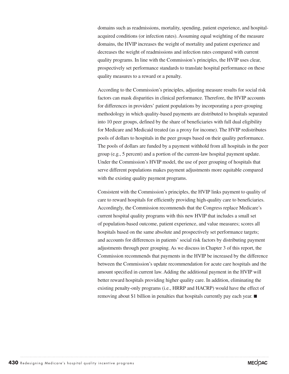domains such as readmissions, mortality, spending, patient experience, and hospitalacquired conditions (or infection rates). Assuming equal weighting of the measure domains, the HVIP increases the weight of mortality and patient experience and decreases the weight of readmissions and infection rates compared with current quality programs. In line with the Commission's principles, the HVIP uses clear, prospectively set performance standards to translate hospital performance on these quality measures to a reward or a penalty.

According to the Commission's principles, adjusting measure results for social risk factors can mask disparities in clinical performance. Therefore, the HVIP accounts for differences in providers' patient populations by incorporating a peer-grouping methodology in which quality-based payments are distributed to hospitals separated into 10 peer groups, defined by the share of beneficiaries with full dual eligibility for Medicare and Medicaid treated (as a proxy for income). The HVIP redistributes pools of dollars to hospitals in the peer groups based on their quality performance. The pools of dollars are funded by a payment withhold from all hospitals in the peer group (e.g., 5 percent) and a portion of the current-law hospital payment update. Under the Commission's HVIP model, the use of peer grouping of hospitals that serve different populations makes payment adjustments more equitable compared with the existing quality payment programs.

Consistent with the Commission's principles, the HVIP links payment to quality of care to reward hospitals for efficiently providing high-quality care to beneficiaries. Accordingly, the Commission recommends that the Congress replace Medicare's current hospital quality programs with this new HVIP that includes a small set of population-based outcome, patient experience, and value measures; scores all hospitals based on the same absolute and prospectively set performance targets; and accounts for differences in patients' social risk factors by distributing payment adjustments through peer grouping. As we discuss in Chapter 3 of this report, the Commission recommends that payments in the HVIP be increased by the difference between the Commission's update recommendation for acute care hospitals and the amount specified in current law. Adding the additional payment in the HVIP will better reward hospitals providing higher quality care. In addition, eliminating the existing penalty-only programs (i.e., HRRP and HACRP) would have the effect of removing about \$1 billion in penalties that hospitals currently pay each year. ■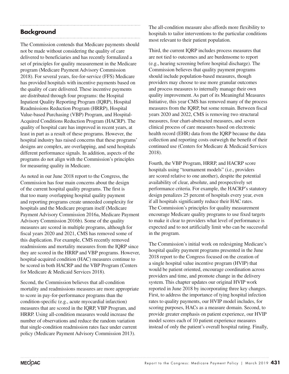# **Background**

The Commission contends that Medicare payments should not be made without considering the quality of care delivered to beneficiaries and has recently formalized a set of principles for quality measurement in the Medicare program (Medicare Payment Advisory Commission 2018). For several years, fee-for-service (FFS) Medicare has provided hospitals with incentive payments based on the quality of care delivered. These incentive payments are distributed through four programs: the Hospital Inpatient Quality Reporting Program (IQRP), Hospital Readmissions Reduction Program (HRRP), Hospital Value-based Purchasing (VBP) Program, and Hospital-Acquired Conditions Reduction Program (HACRP). The quality of hospital care has improved in recent years, at least in part as a result of these programs. However, the hospital industry has raised concerns that these programs' designs are complex, are overlapping, and send hospitals different performance signals. In addition, aspects of the programs do not align with the Commission's principles for measuring quality in Medicare.

As noted in our June 2018 report to the Congress, the Commission has four main concerns about the design of the current hospital quality programs. The first is that too many overlapping hospital quality payment and reporting programs create unneeded complexity for hospitals and the Medicare program itself (Medicare Payment Advisory Commission 2016a, Medicare Payment Advisory Commission 2016b). Some of the quality measures are scored in multiple programs, although for fiscal years 2020 and 2021, CMS has removed some of this duplication. For example, CMS recently removed readmissions and mortality measures from the IQRP since they are scored in the HRRP and VBP programs. However, hospital-acquired condition (HAC) measures continue to be scored in both HACRP and the VBP Program (Centers for Medicare & Medicaid Services 2018).

Second, the Commission believes that all-condition mortality and readmissions measures are more appropriate to score in pay-for-performance programs than the condition-specific (e.g., acute myocardial infarction) measures that are scored in the IQRP, VBP Program, and HRRP. Using all-condition measures would increase the number of observations and reduce the random variation that single-condition readmission rates face under current policy (Medicare Payment Advisory Commission 2013).

The all-condition measure also affords more flexibility to hospitals to tailor interventions to the particular conditions most relevant to their patient population.

Third, the current IQRP includes process measures that are not tied to outcomes and are burdensome to report (e.g., hearing screening before hospital discharge). The Commission believes that quality payment programs should include population-based measures, though providers may choose to use more granular outcomes and process measures to internally manage their own quality improvement. As part of its Meaningful Measures Initiative, this year CMS has removed many of the process measures from the IQRP, but some remain. Between fiscal years 2020 and 2022, CMS is removing two structural measures, four chart-abstracted measures, and seven clinical process of care measures based on electronic health record (EHR) data from the IQRP because the data collection and reporting costs outweigh the benefit of their continued use (Centers for Medicare & Medicaid Services 2018).

Fourth, the VBP Program, HRRP, and HACRP score hospitals using "tournament models" (i.e., providers are scored relative to one another), despite the potential availability of clear, absolute, and prospectively set performance criteria. For example, the HACRP's statutory design penalizes 25 percent of hospitals every year, even if all hospitals significantly reduce their HAC rates. The Commission's principles for quality measurement encourage Medicare quality programs to use fixed targets to make it clear to providers what level of performance is expected and to not artificially limit who can be successful in the program.

The Commission's initial work on redesigning Medicare's hospital quality payment programs presented in the June 2018 report to the Congress focused on the creation of a single hospital value incentive program (HVIP) that would be patient oriented, encourage coordination across providers and time, and promote change in the delivery system. This chapter updates our original HVIP work reported in June 2018 by incorporating three key changes. First, to address the importance of tying hospital infection rates to quality payments, our HVIP model includes, for scoring purposes, HACs as a measure domain. Second, to provide greater emphasis on patient experience, our HVIP model scores each of 10 patient experience measures instead of only the patient's overall hospital rating. Finally,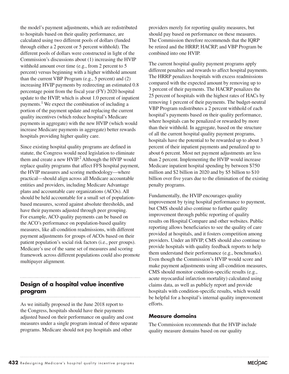the model's payment adjustments, which are redistributed to hospitals based on their quality performance, are calculated using two different pools of dollars (funded through either a 2 percent or 5 percent withhold). The different pools of dollars were constructed in light of the Commission's discussions about (1) increasing the HVIP withhold amount over time (e.g., from 2 percent to 5 percent) versus beginning with a higher withhold amount than the current VBP Program (e.g., 5 percent) and (2) increasing HVIP payments by redirecting an estimated 0.8 percentage point from the fiscal year (FY) 2020 hospital update to the HVIP, which is about 1.0 percent of inpatient payments.<sup>1</sup> We expect the combination of including a portion of the payment update and replacing the current quality incentives (which reduce hospital's Medicare payments in aggregate) with the new HVIP (which would increase Medicare payments in aggregate) better rewards hospitals providing higher quality care.

Since existing hospital quality programs are defined in statute, the Congress would need legislation to eliminate them and create a new HVIP.<sup>2</sup> Although the HVIP would replace quality programs that affect FFS hospital payment, the HVIP measures and scoring methodology—where practical—should align across all Medicare accountable entities and providers, including Medicare Advantage plans and accountable care organizations (ACOs). All should be held accountable for a small set of populationbased measures, scored against absolute thresholds, and have their payments adjusted through peer grouping. For example, ACO quality payments can be based on the ACO's performance on population-based quality measures, like all-condition readmissions, with different payment adjustments for groups of ACOs based on their patient population's social risk factors (i.e., peer groups). Medicare's use of the same set of measures and scoring framework across different populations could also promote multipayer alignment.

#### **Design of a hospital value incentive program**

As we initially proposed in the June 2018 report to the Congress, hospitals should have their payments adjusted based on their performance on quality and cost measures under a single program instead of three separate programs. Medicare should not pay hospitals and other

providers merely for reporting quality measures, but should pay based on performance on these measures. The Commission therefore recommends that the IQRP be retired and the HRRP, HACRP, and VBP Program be combined into one HVIP.

The current hospital quality payment programs apply different penalties and rewards to affect hospital payments. The HRRP penalizes hospitals with excess readmissions compared with the expected amount by removing up to 3 percent of their payments. The HACRP penalizes the 25 percent of hospitals with the highest rates of HACs by removing 1 percent of their payments. The budget-neutral VBP Program redistributes a 2 percent withhold of each hospital's payments based on their quality performance, where hospitals can be penalized or rewarded by more than their withhold. In aggregate, based on the structure of all the current hospital quality payment programs, hospitals have the potential to be rewarded up to about 3 percent of their inpatient payments and penalized up to about 6 percent. Most net payment adjustments are less than 2 percent. Implementing the HVIP would increase Medicare inpatient hospital spending by between \$750 million and \$2 billion in 2020 and by \$5 billion to \$10 billion over five years due to the elimination of the existing penalty programs.

Fundamentally, the HVIP encourages quality improvement by tying hospital performance to payment, but CMS should also continue to further quality improvement through public reporting of quality results on Hospital Compare and other websites. Public reporting allows beneficiaries to see the quality of care provided at hospitals, and it fosters competition among providers. Under an HVIP, CMS should also continue to provide hospitals with quality feedback reports to help them understand their performance (e.g., benchmarks). Even though the Commission's HVIP would score and make payment adjustments using all-condition measures, CMS should monitor condition-specific results (e.g., acute myocardial infarction mortality) calculated using claims data, as well as publicly report and provide hospitals with condition-specific results, which would be helpful for a hospital's internal quality improvement efforts.

#### **Measure domains**

The Commission recommends that the HVIP include quality measure domains based on our quality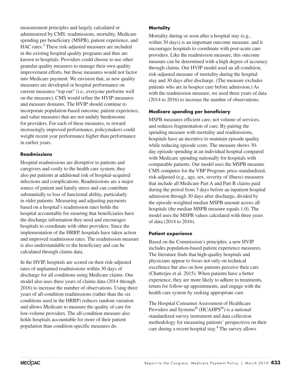measurement principles and largely calculated or administered by CMS: readmissions, mortality, Medicare spending per beneficiary (MSPB), patient experience, and HAC rates.<sup>3</sup> These risk-adjusted measures are included in the existing hospital quality programs and thus are known to hospitals. Providers could choose to use other granular quality measures to manage their own quality improvement efforts, but those measures would not factor into Medicare payment. We envision that, as new quality measures are developed or hospital performance on current measures "top out" (i.e., everyone performs well on the measure), CMS would refine the HVIP measures and measure domains. The HVIP should continue to incorporate population-based outcome, patient experience, and value measures that are not unduly burdensome for providers. For each of these measures, to reward increasingly improved performance, policymakers could weight recent year performance higher than performance in earlier years.

#### **Readmissions**

Hospital readmissions are disruptive to patients and caregivers and costly to the health care system; they also put patients at additional risk of hospital-acquired infections and complications. Readmissions are a major source of patient and family stress and can contribute substantially to loss of functional ability, particularly in older patients. Measuring and adjusting payments based on a hospital's readmission rates holds the hospital accountable for ensuring that beneficiaries have the discharge information they need and encourages hospitals to coordinate with other providers. Since the implementation of the HRRP, hospitals have taken action and improved readmission rates. The readmission measure is also understandable to the beneficiary and can be calculated through claims data.

In the HVIP, hospitals are scored on their risk-adjusted rates of unplanned readmissions within 30 days of discharge for all conditions using Medicare claims. Our model also uses three years of claims data (2014 through 2016) to increase the number of observations. Using three years of all-condition readmissions (rather than the six conditions used in the HRRP) reduces random variation and allows Medicare to measure the quality of care for low-volume providers. The all-condition measure also holds hospitals accountable for more of their patient population than condition-specific measures do.

#### **Mortality**

Mortality during or soon after a hospital stay (e.g., within 30 days) is an important outcome measure, and it encourages hospitals to coordinate with post-acute care providers. Like the readmission measure, this outcome measure can be determined with a high degree of accuracy through claims. Our HVIP model used an all-condition, risk-adjusted measure of mortality during the hospital stay and 30 days after discharge. (The measure excludes patients who are in hospice care before admission.) As with the readmission measure, we used three years of data (2014 to 2016) to increase the number of observations.

#### **Medicare spending per beneficiary**

MSPB measures efficient care, not volume of services, and reduces fragmentation of care. By pairing the spending measure with mortality and readmissions, hospitals have an incentive to maintain episode quality while reducing episode costs. The measure shows 30 day episode spending at an individual hospital compared with Medicare spending nationally for hospitals with comparable patients. Our model uses the MSPB measure CMS computes for the VBP Program: price-standardized, risk-adjusted (e.g., age, sex, severity of illness) measures that include all Medicare Part A and Part B claims paid during the period from 3 days before an inpatient hospital admission through 30 days after discharge, divided by the episode-weighted median MSPB amount across all hospitals (the median MSPB measure equals 1.0). The model uses the MSPB values calculated with three years of data (2014 to 2016).

#### **Patient experience**

Based on the Commission's principles, a new HVIP includes population-based patient experience measures. The literature finds that high-quality hospitals and physicians appear to focus not only on technical excellence but also on how patients perceive their care (Chatterjee et al. 2015). When patients have a better experience, they are more likely to adhere to treatments, return for follow-up appointments, and engage with the health care system by seeking appropriate care.

The Hospital Consumer Assessment of Healthcare Providers and Systems® (HCAHPS®) is a national standardized survey instrument and data collection methodology for measuring patients' perspectives on their care during a recent hospital stay.<sup>4</sup> The survey allows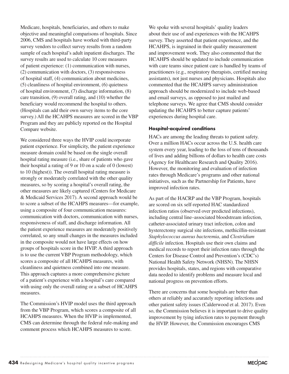Medicare, hospitals, beneficiaries, and others to make objective and meaningful comparisons of hospitals. Since 2006, CMS and hospitals have worked with third-party survey vendors to collect survey results from a random sample of each hospital's adult inpatient discharges. The survey results are used to calculate 10 core measures of patient experience: (1) communication with nurses, (2) communication with doctors, (3) responsiveness of hospital staff, (4) communication about medicines, (5) cleanliness of hospital environment, (6) quietness of hospital environment, (7) discharge information, (8) care transition, (9) overall rating, and (10) whether the beneficiary would recommend the hospital to others. (Hospitals can add their own survey items to the core survey.) All the HCAHPS measures are scored in the VBP Program and they are publicly reported on the Hospital Compare website.

We considered three ways the HVIP could incorporate patient experience. For simplicity, the patient experience measure domain could be based on the single overall hospital rating measure (i.e., share of patients who gave their hospital a rating of 9 or 10 on a scale of 0 (lowest) to 10 (highest)). The overall hospital rating measure is strongly or moderately correlated with the other quality measures, so by scoring a hospital's overall rating, the other measures are likely captured (Centers for Medicare & Medicaid Services 2017). A second approach would be to score a subset of the HCAHPS measures—for example, using a composite of four communication measures: communication with doctors, communication with nurses, responsiveness of staff, and discharge information. All the patient experience measures are moderately positively correlated, so any small changes in the measures included in the composite would not have large effects on how groups of hospitals score in the HVIP. A third approach is to use the current VBP Program methodology, which scores a composite of all HCAHPS measures, with cleanliness and quietness combined into one measure. This approach captures a more comprehensive picture of a patient's experience with a hospital's care compared with using only the overall rating or a subset of HCAHPS measures.

The Commission's HVIP model uses the third approach from the VBP Program, which scores a composite of all HCAHPS measures. When the HVIP is implemented, CMS can determine through the federal rule-making and comment process which HCAHPS measures to score.

We spoke with several hospitals' quality leaders about their use of and experiences with the HCAHPS survey. They asserted that patient experience, and the HCAHPS, is ingrained in their quality measurement and improvement work. They also commented that the HCAHPS should be updated to include communication with care teams since patient care is handled by teams of practitioners (e.g., respiratory therapists, certified nursing assistants), not just nurses and physicians. Hospitals also commented that the HCAHPS survey administration approach should be modernized to include web-based and email surveys, as opposed to just mailed and telephone surveys. We agree that CMS should consider updating the HCAHPS to better capture patients' experiences during hospital care.

#### **Hospital-acquired conditions**

HACs are among the leading threats to patient safety. Over a million HACs occur across the U.S. health care system every year, leading to the loss of tens of thousands of lives and adding billions of dollars to health care costs (Agency for Healthcare Research and Quality 2016). However, the monitoring and evaluation of infection rates through Medicare's programs and other national initiatives, such as the Partnership for Patients, have improved infection rates.

As part of the HACRP and the VBP Program, hospitals are scored on six self-reported HAC standardized infection ratios (observed over predicted infections), including central line–associated bloodstream infection, catheter-associated urinary tract infection, colon and hysterectomy surgical site infections, methicillin-resistant *Staphylococcus aureus bacteremia*, and *Clostridium difficile* infection. Hospitals use their own claims and medical records to report their infection rates through the Centers for Disease Control and Prevention's (CDC's) National Health Safety Network (NHSN). The NHSN provides hospitals, states, and regions with comparative data needed to identify problems and measure local and national progress on prevention efforts.

There are concerns that some hospitals are better than others at reliably and accurately reporting infections and other patient safety issues (Calderwood et al. 2017). Even so, the Commission believes it is important to drive quality improvement by tying infection rates to payment through the HVIP. However, the Commission encourages CMS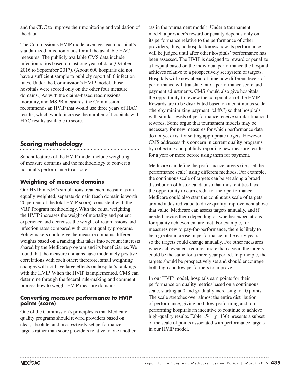and the CDC to improve their monitoring and validation of the data.

The Commission's HVIP model averages each hospital's standardized infection ratios for all the available HAC measures. The publicly available CMS data include infection ratios based on just one year of data (October 2016 to September 2017). (About 600 hospitals did not have a sufficient sample to publicly report all 6 infection rates. Under the Commission's HVIP model, those hospitals were scored only on the other four measure domains.) As with the claims-based readmissions, mortality, and MSPB measures, the Commission recommends an HVIP that would use three years of HAC results, which would increase the number of hospitals with HAC results available to score.

# **Scoring methodology**

Salient features of the HVIP model include weighting of measure domains and the methodology to convert a hospital's performance to a score.

## **Weighting of measure domains**

Our HVIP model's simulations treat each measure as an equally weighted, separate domain (each domain is worth 20 percent of the total HVIP score), consistent with the VBP Program methodology. With the equal weighting, the HVIP increases the weight of mortality and patient experience and decreases the weight of readmissions and infection rates compared with current quality programs. Policymakers could give the measure domains different weights based on a ranking that takes into account interests shared by the Medicare program and its beneficiaries. We found that the measure domains have moderately positive correlations with each other; therefore, small weighting changes will not have large effects on hospital's rankings with the HVIP. When the HVIP is implemented, CMS can determine through the federal rule-making and comment process how to weight HVIP measure domains.

#### **Converting measure performance to HVIP points (score)**

One of the Commission's principles is that Medicare quality programs should reward providers based on clear, absolute, and prospectively set performance targets rather than score providers relative to one another

(as in the tournament model). Under a tournament model, a provider's reward or penalty depends only on its performance relative to the performance of other providers; thus, no hospital knows how its performance will be judged until after other hospitals' performance has been assessed. The HVIP is designed to reward or penalize a hospital based on the individual performance the hospital achieves relative to a prospectively set system of targets. Hospitals will know ahead of time how different levels of performance will translate into a performance score and payment adjustments. CMS should also give hospitals the opportunity to review the computation of the HVIP. Rewards are to be distributed based on a continuous scale (thereby minimizing payment "cliffs") so that hospitals with similar levels of performance receive similar financial rewards. Some argue that tournament models may be necessary for new measures for which performance data do not yet exist for setting appropriate targets. However, CMS addresses this concern in current quality programs by collecting and publicly reporting new measure results for a year or more before using them for payment.

Medicare can define the performance targets (i.e., set the performance scale) using different methods. For example, the continuous scale of targets can be set along a broad distribution of historical data so that most entities have the opportunity to earn credit for their performance. Medicare could also start the continuous scale of targets around a desired value to drive quality improvement above that value. Medicare can assess targets annually, and if needed, revise them depending on whether expectations for quality achievement are met. For example, for measures new to pay-for-performance, there is likely to be a greater increase in performance in the early years, so the targets could change annually. For other measures where achievement requires more than a year, the targets could be the same for a three-year period. In principle, the targets should be prospectively set and should encourage both high and low performers to improve.

In our HVIP model, hospitals earn points for their performance on quality metrics based on a continuous scale, starting at 0 and gradually increasing to 10 points. The scale stretches over almost the entire distribution of performance, giving both low-performing and topperforming hospitals an incentive to continue to achieve high-quality results. Table 15-1 (p. 436) presents a subset of the scale of points associated with performance targets in our HVIP model.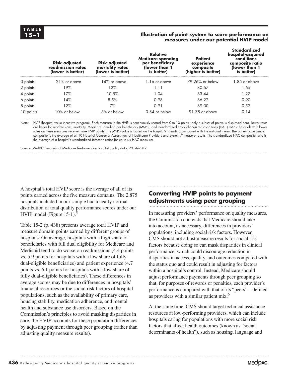#### **15–1 Illustration of point system to score performance on measures under our potential HVIP model**

|           | <b>Risk-adjusted</b><br>readmission rates<br>(lower is better) | <b>Risk-adjusted</b><br>mortality rates<br>(lower is better) | <b>Relative</b><br><b>Medicare spending</b><br>per beneficiary<br>(lower than 1<br>is better) | <b>Patient</b><br>experience<br>composite<br>(higher is better) | <b>Standardized</b><br>hospital-acquired<br>conditions<br>composite ratio<br>(lower than 1<br>is better) |
|-----------|----------------------------------------------------------------|--------------------------------------------------------------|-----------------------------------------------------------------------------------------------|-----------------------------------------------------------------|----------------------------------------------------------------------------------------------------------|
| 0 points  | 21% or above                                                   | 14% or above                                                 | $1.16$ or above                                                                               | 79.26% or below                                                 | 1.85 or above                                                                                            |
| 2 points  | 19%                                                            | 12%                                                          | 1.11                                                                                          | 80.67                                                           | 1.65                                                                                                     |
| 4 points  | 17%                                                            | 10.5%                                                        | 1.04                                                                                          | 83.44                                                           | 1.27                                                                                                     |
| 6 points  | 14%                                                            | 8.5%                                                         | 0.98                                                                                          | 86.22                                                           | 0.90                                                                                                     |
| 8 points  | 12%                                                            | 7%                                                           | 0.91                                                                                          | 89.00                                                           | 0.52                                                                                                     |
| 10 points | 10% or below                                                   | 5% or below                                                  | 0.84 or below                                                                                 | 91.78 or above                                                  | 0.14                                                                                                     |

Note: HVIP (hospital value incentive program). Each measure in the HVIP is continuously scored from 0 to 10 points; only a subset of points is displayed here. Lower rates are better for readmissions, mortality, Medicare spending per beneficiary (MSPB), and standardized hospital-acquired conditions (HAC) ratios; hospitals with lower rates on these measures receive more HVIP points. The MSPB value is based on the hospital's spending compared with the national mean. The patient experience composite is the average of all 10 Hospital Consumer Assessment of Healthcare Providers and Systems® measure results. The standardized HAC composite ratio is the average of a hospital's standardized infection ratios for up to six HAC measures.

Source: MedPAC analysis of Medicare fee-for-service hospital quality data, 2014–2017.

A hospital's total HVIP score is the average of all of its points earned across the five measure domains. The 2,875 hospitals included in our sample had a nearly normal distribution of total quality performance scores under our HVIP model (Figure  $15-1$ ).<sup>5</sup>

Table 15-2 (p. 438) presents average total HVIP and measure domain points earned by different groups of hospitals. On average, hospitals with a high share of beneficiaries with full dual eligibility for Medicare and Medicaid tend to do worse on readmissions (4.4 points vs. 5.9 points for hospitals with a low share of fully dual-eligible beneficiaries) and patient experience (4.7 points vs. 6.1 points for hospitals with a low share of fully dual-eligible beneficiaries). These differences in average scores may be due to differences in hospitals' financial resources or the social risk factors of hospital populations, such as the availability of primary care, housing stability, medication adherence, and mental health and substance use disorders. Based on the Commission's principles to avoid masking disparities in care, the HVIP accounts for these population differences by adjusting payment through peer grouping (rather than adjusting quality measure results).

# **Converting HVIP points to payment adjustments using peer grouping**

In measuring providers' performance on quality measures, the Commission contends that Medicare should take into account, as necessary, differences in providers' populations, including social risk factors. However, CMS should not adjust measure results for social risk factors because doing so can mask disparities in clinical performance, which could discourage reduction in disparities in access, quality, and outcomes compared with the status quo and could result in adjusting for factors within a hospital's control. Instead, Medicare should adjust performance payments through peer grouping so that, for purposes of rewards or penalties, each provider's performance is compared with that of its "peers"—defined as providers with a similar patient mix.<sup>6</sup>

At the same time, CMS should target technical assistance resources at low-performing providers, which can include hospitals caring for populations with more social risk factors that affect health outcomes (known as "social determinants of health"), such as housing, language and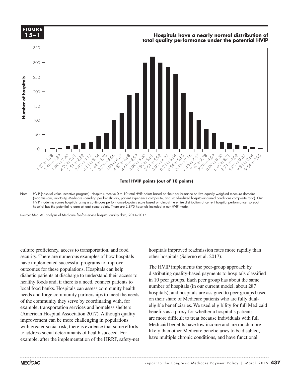

Note: HVIP (hospital value incentive program). Hospitals receive 0 to 10 total HVIP points based on their performance on five equally weighted measure domains (readmissions, mortality, Medicare spending per beneficiary, patient experience composite, and standardized hospital-acquired conditions composite ratio). Our HVIP modeling scores hospitals using a continuous performance-to-points scale based on almost the entire distribution of current hospital performance, so each hospital has the potential to earn at least some points. There are 2,875 hospitals included in our HVIP model.

Source: MedPAC analysis of Medicare fee-for-service hospital quality data, 2014–2017.

culture proficiency, access to transportation, and food security. There are numerous examples of how hospitals have implemented successful programs to improve outcomes for these populations. Hospitals can help diabetic patients at discharge to understand their access to healthy foods and, if there is a need, connect patients to local food banks. Hospitals can assess community health needs and forge community partnerships to meet the needs of the community they serve by coordinating with, for example, transportation services and homeless shelters (American Hospital Association 2017). Although quality improvement can be more challenging in populations with greater social risk, there is evidence that some efforts Note grows social determinants of health succeed. For example, after the implementation of the HRRP, safety-net hospitals improved readmission rates more rapidly than other hospitals (Salerno et al. 2017).

The HVIP implements the peer-group approach by distributing quality-based payments to hospitals classified in 10 peer groups. Each peer group has about the same number of hospitals (in our current model, about 287 hospitals), and hospitals are assigned to peer groups based on their share of Medicare patients who are fully dualeligible beneficiaries. We used eligibility for full Medicaid benefits as a proxy for whether a hospital's patients are more difficult to treat because individuals with full Medicaid benefits have low income and are much more likely than other Medicare beneficiaries to be disabled, have multiple chronic conditions, and have functional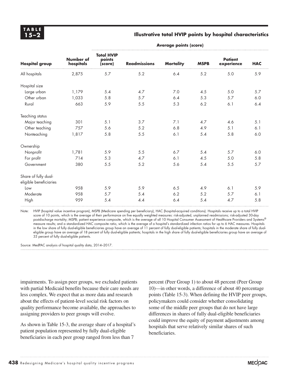#### **15–2 Illustrative total HVIP points by hospital characteristics**

| <b>Hospital group</b>                          | Number of<br>hospitals | <b>Total HVIP</b><br>points<br>(score) | <b>Readmissions</b> | <b>Mortality</b> | <b>MSPB</b> | <b>Patient</b><br>experience | <b>HAC</b> |
|------------------------------------------------|------------------------|----------------------------------------|---------------------|------------------|-------------|------------------------------|------------|
| All hospitals                                  | 2,875                  | $5.7\,$                                | 5.2                 | 6.4              | 5.2         | 5.0                          | 5.9        |
| Hospital size                                  |                        |                                        |                     |                  |             |                              |            |
| Large urban                                    | 1,179                  | 5.4                                    | 4.7                 | 7.0              | 4.5         | 5.0                          | 5.7        |
| Other urban                                    | 1,033                  | 5.8                                    | 5.7                 | 6.4              | 5.3         | 5.7                          | 6.0        |
| Rural                                          | 663                    | 5.9                                    | 5.5                 | 5.3              | $6.2\,$     | 6.1                          | 6.4        |
| Teaching status                                |                        |                                        |                     |                  |             |                              |            |
| Major teaching                                 | 301                    | 5.1                                    | 3.7                 | 7.1              | 4.7         | 4.6                          | 5.1        |
| Other teaching                                 | 757                    | 5.6                                    | 5.2                 | 6.8              | 4.9         | 5.1                          | 6.1        |
| Nonteaching                                    | 1,817                  | 5.8                                    | 5.5                 | 6.1              | 5.4         | 5.8                          | 6.0        |
| Ownership                                      |                        |                                        |                     |                  |             |                              |            |
| Nonprofit                                      | 1,781                  | 5.9                                    | $5.5$               | 6.7              | 5.4         | 5.7                          | 6.0        |
| For profit                                     | 714                    | 5.3                                    | 4.7                 | 6.1              | 4.5         | 5.0                          | 5.8        |
| Government                                     | 380                    | 5.5                                    | 5.2                 | 5.6              | 5.4         | 5.5                          | 5.7        |
| Share of fully dual-<br>eligible beneficiaries |                        |                                        |                     |                  |             |                              |            |
| Low                                            | 958                    | 5.9                                    | 5.9                 | 6.5              | 4.9         | 6.1                          | 5.9        |
| Moderate                                       | 958                    | 5.7                                    | 5.4                 | 6.2              | 5.2         | 5.7                          | 6.1        |
| High                                           | 959                    | 5.4                                    | 4.4                 | 6.4              | 5.4         | 4.7                          | 5.8        |

**Average points (score)**

Note: HVIP (hospital value incentive program), MSPB (Medicare spending per beneficiary), HAC (hospital-acquired conditions). Hospitals receive up to a total HVIP score of 10 points, which is the average of their performance on five equally weighted measures: risk-adjusted, unplanned readmissions; risk-adjusted 30-day postdischarge mortality; MSPB; patient experience composite, which is the average of all 10 Hospital Consumer Assessment of Healthcare Providers and Systems® measure results; and a standardized HAC composite ratio, which is the average of a hospital's standardized infection ratios for up to 6 HAC measures. Hospitals in the low share of fully dual-eligible beneficiaries group have an average of 11 percent of fully dual-eligible patients; hospitals in the moderate share of fully dualeligible group have an average of 18 percent of fully dual-eligible patients; hospitals in the high share of fully dual-eligible beneficiaries group have an average of 33 percent of fully dual-eligible patients.

Source: MedPAC analysis of hospital quality data, 2014–2017.

impairments. To assign peer groups, we excluded patients with partial Medicaid benefits because their care needs are less complex. We expect that as more data and research about the effects of patient-level social risk factors on quality performance become available, the approaches to assigning providers to peer groups will evolve.

As shown in Table 15-3, the average share of a hospital's patient population represented by fully dual-eligible beneficiaries in each peer group ranged from less than 7

percent (Peer Group 1) to about 48 percent (Peer Group 10)—in other words, a difference of about 40 percentage points (Table 15-3). When defining the HVIP peer groups, policymakers could consider whether consolidating some of the middle peer groups that do not have large differences in shares of fully dual-eligible beneficiaries could improve the equity of payment adjustments among hospitals that serve relatively similar shares of such beneficiaries.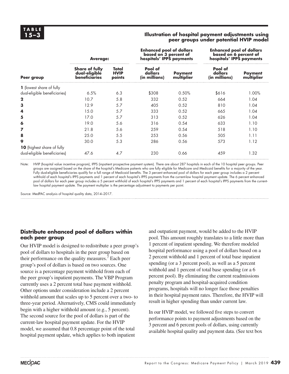#### **15–3 Illustration of hospital payment adjustments using peer groups under potential HVIP model**

|                                                                   | <b>Average:</b>                                                |                                | <b>Enhanced pool of dollars</b><br>based on 3 percent of<br>hospitals' IPPS payments |                              | <b>Enhanced pool of dollars</b><br>based on 6 percent of<br>hospitals' IPPS payments |                              |
|-------------------------------------------------------------------|----------------------------------------------------------------|--------------------------------|--------------------------------------------------------------------------------------|------------------------------|--------------------------------------------------------------------------------------|------------------------------|
| Peer group                                                        | <b>Share of fully</b><br>dual-eligible<br><b>beneficiaries</b> | Total<br><b>HVIP</b><br>points | Pool of<br>dollars<br>(in millions)                                                  | <b>Payment</b><br>multiplier | Pool of<br>dollars<br>(in millions)                                                  | <b>Payment</b><br>multiplier |
| 1 (lowest share of fully                                          |                                                                |                                |                                                                                      |                              |                                                                                      |                              |
| dual-eligible beneficiaries)                                      | 6.5%                                                           | 6.3                            | \$308                                                                                | 0.50%                        | \$616                                                                                | 1.00%                        |
| $\mathbf{2}$                                                      | 10.7                                                           | 5.8                            | 332                                                                                  | 0.52                         | 664                                                                                  | 1.04                         |
| 3                                                                 | 12.9                                                           | 5.7                            | 405                                                                                  | 0.52                         | 810                                                                                  | 1.04                         |
| 4                                                                 | 15.0                                                           | 5.7                            | 333                                                                                  | 0.52                         | 665                                                                                  | 1.04                         |
| 5                                                                 | 17.0                                                           | 5.7                            | 313                                                                                  | 0.52                         | 626                                                                                  | 1.04                         |
| 6                                                                 | 19.0                                                           | 5.6                            | 316                                                                                  | 0.54                         | 633                                                                                  | 1.10                         |
| 7                                                                 | 21.8                                                           | 5.6                            | 259                                                                                  | 0.54                         | 518                                                                                  | 1.10                         |
| 8                                                                 | 25.0                                                           | 5.5                            | 253                                                                                  | 0.56                         | 505                                                                                  | 1.11                         |
| 9                                                                 | 30.0                                                           | 5.3                            | 286                                                                                  | 0.56                         | 573                                                                                  | 1.12                         |
| <b>10</b> (highest share of fully<br>dual-eligible beneficiaries) | 47.6                                                           | 4.7                            | 230                                                                                  | 0.66                         | 459                                                                                  | 1.32                         |

Note: HVIP (hospital value incentive program), IPPS (inpatient prospective payment system). There are about 287 hospitals in each of the 10 hospital peer groups. Peer groups are assigned based on the share of the hospital's Medicare patients who are fully eligible for Medicare and Medicaid benefits for a majority of the year. Fully dual-eligible beneficiaries qualify for a full range of Medicaid benefits. The 3 percent enhanced pool of dollars for each peer group includes a 2 percent withhold of each hospital's IPPS payments and 1 percent of each hospital's IPPS payments from the current-law hospital payment update. The 6 percent enhanced pool of dollars for each peer group includes a 5 percent withhold of each hospital's IPPS payments and 1 percent of each hospital's IPPS payments from the currentlaw hospital payment update. The payment multiplier is the percentage adjustment to payments per point.

Source: MedPAC analysis of hospital quality data, 2014–2017.

#### **Distribute enhanced pool of dollars within each peer group**

Our HVIP model is designed to redistribute a peer group's pool of dollars to hospitals in the peer group based on their performance on the quality measures.<sup> $7$ </sup> Each peer group's pool of dollars is based on two sources. One source is a percentage payment withhold from each of the peer group's inpatient payments. The VBP Program currently uses a 2 percent total base payment withhold. Other options under consideration include a 2 percent withhold amount that scales up to 5 percent over a two- to three-year period. Alternatively, CMS could immediately begin with a higher withhold amount (e.g., 5 percent). The second source for the pool of dollars is part of the current-law hospital payment update. For the HVIP model, we assumed that 0.8 percentage point of the total hospital payment update, which applies to both inpatient

and outpatient payment, would be added to the HVIP pool. This amount roughly translates to a little more than 1 percent of inpatient spending. We therefore modeled hospital performance using a pool of dollars based on a 2 percent withhold and 1 percent of total base inpatient spending (or a 3 percent pool), as well as a 5 percent withhold and 1 percent of total base spending (or a 6 percent pool). By eliminating the current readmissions penalty program and hospital-acquired condition programs, hospitals will no longer face those penalties in their hospital payment rates. Therefore, the HVIP will result in higher spending than under current law.

In our HVIP model, we followed five steps to convert performance points to payment adjustments based on the 3 percent and 6 percent pools of dollars, using currently available hospital quality and payment data. (See text box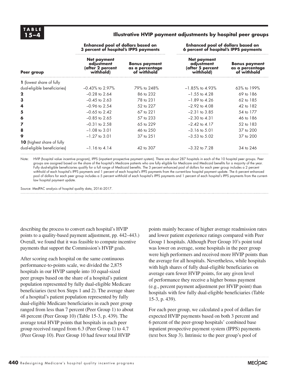#### **15–4 Illustrative HVIP payment adjustments by hospital peer groups**

|                                   | <b>Enhanced pool of dollars based on</b><br>3 percent of hospital's IPPS payments |                                                        | <b>Enhanced pool of dollars based on</b><br>6 percent of hospital's IPPS payments |                                                        |  |
|-----------------------------------|-----------------------------------------------------------------------------------|--------------------------------------------------------|-----------------------------------------------------------------------------------|--------------------------------------------------------|--|
| Peer group                        | <b>Net payment</b><br>adjustment<br>(after 2 percent<br>withhold)                 | <b>Bonus payment</b><br>as a percentage<br>of withhold | Net payment<br>adjustment<br>(after 5 percent<br>withhold)                        | <b>Bonus payment</b><br>as a percentage<br>of withhold |  |
| <b>1</b> (lowest share of fully   |                                                                                   |                                                        |                                                                                   |                                                        |  |
| dual-eligible beneficiaries)      | $-0.43\%$ to 2.97%                                                                | 79% to 248%                                            | $-1.85\%$ to 4.93%                                                                | $63\%$ to 199%                                         |  |
| $\mathbf{2}$                      | $-0.28$ to 2.64                                                                   | 86 to 232                                              | $-1.55$ to 4.28                                                                   | 69 to 186                                              |  |
| 3                                 | $-0.45$ to 2.63                                                                   | 78 to 231                                              | $-1.89$ to 4.26                                                                   | $62 \text{ to } 185$                                   |  |
| 4                                 | $-0.96$ to 2.54                                                                   | 52 to 227                                              | $-2.92$ to $4.08$                                                                 | 42 to 182                                              |  |
| 5                                 | $-0.65$ to 2.42                                                                   | 67 to 221                                              | $-2.31$ to $3.85$                                                                 | 54 to 177                                              |  |
| 6                                 | $-0.85$ to 2.65                                                                   | 57 to 233                                              | $-2.30$ to 4.31                                                                   | 46 to 186                                              |  |
| 7                                 | $-0.31$ to 2.58                                                                   | 65 to 229                                              | $-2.42$ to $4.17$                                                                 | 52 to 183                                              |  |
| 8                                 | $-1.08$ to 3.01                                                                   | 46 to 250                                              | $-3.16$ to $5.01$                                                                 | 37 to 200                                              |  |
| 9                                 | $-1.27$ to 3.01                                                                   | 37 to 251                                              | $-3.53$ to $5.02$                                                                 | 37 to 200                                              |  |
| <b>10</b> (highest share of fully |                                                                                   |                                                        |                                                                                   |                                                        |  |
| dual-eligible beneficiaries)      | $-1.16$ to 4.14                                                                   | 42 to 307                                              | $-3.32$ to $7.28$                                                                 | 34 to 246                                              |  |

Note: HVIP (hospital value incentive program), IPPS (inpatient prospective payment system). There are about 287 hospitals in each of the 10 hospital peer groups. Peer groups are assigned based on the share of the hospital's Medicare patients who are fully eligible for Medicare and Medicaid benefits for a majority of the year. Fully dual-eligible beneficiaries qualify for a full range of Medicaid benefits. The 3 percent enhanced pool of dollars for each peer group includes a 2 percent withhold of each hospital's IPPS payments and 1 percent of each hospital's IPPS payments from the current-law hospital payment update. The 6 percent enhanced pool of dollars for each peer group includes a 5 percent withhold of each hospital's IPPS payments and 1 percent of each hospital's IPPS payments from the currentlaw hospital payment update.

Source: MedPAC analysis of hospital quality data, 2014–2017.

describing the process to convert each hospital's HVIP points to a quality-based payment adjustment, pp. 442–443.) Overall, we found that it was feasible to compute incentive payments that support the Commission's HVIP goals.

After scoring each hospital on the same continuous performance-to-points scale, we divided the 2,875 hospitals in our HVIP sample into 10 equal-sized peer groups based on the share of a hospital's patient population represented by fully dual-eligible Medicare beneficiaries (text box Steps 1 and 2). The average share of a hospital's patient population represented by fully dual-eligible Medicare beneficiaries in each peer group ranged from less than 7 percent (Peer Group 1) to about 48 percent (Peer Group 10) (Table 15-3, p. 439). The average total HVIP points that hospitals in each peer group received ranged from 6.3 (Peer Group 1) to 4.7 (Peer Group 10). Peer Group 10 had fewer total HVIP

points mainly because of higher average readmission rates and lower patient experience ratings compared with Peer Group 1 hospitals. Although Peer Group 10's point total was lower on average, some hospitals in the peer group were high performers and received more HVIP points than the average for all hospitals. Nevertheless, while hospitals with high shares of fully dual-eligible beneficiaries on average earn fewer HVIP points, for any given level of performance they receive a higher bonus payment (e.g., percent payment adjustment per HVIP point) than hospitals with few fully dual-eligible beneficiaries (Table 15-3, p. 439).

For each peer group, we calculated a pool of dollars for expected HVIP payments based on both 3 percent and 6 percent of the peer-group hospitals' combined base inpatient prospective payment system (IPPS) payments (text box Step 3). Intrinsic to the peer group's pool of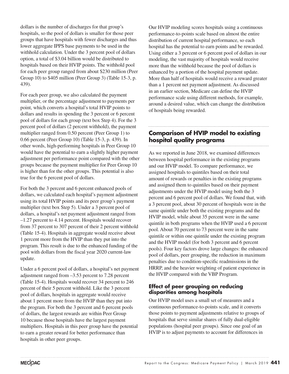dollars is the number of discharges for that group's hospitals, so the pool of dollars is smaller for those peer groups that have hospitals with fewer discharges and thus lower aggregate IPPS base payments to be used in the withhold calculation. Under the 3 percent pool of dollars option, a total of \$3.04 billion would be distributed to hospitals based on their HVIP points. The withhold pool for each peer group ranged from about \$230 million (Peer Group 10) to \$405 million (Peer Group 3) (Table 15-3, p. 439).

For each peer group, we also calculated the payment multiplier, or the percentage adjustment to payments per point, which converts a hospital's total HVIP points to dollars and results in spending the 3 percent or 6 percent pool of dollars for each group (text box Step 4). For the 3 percent pool of dollars (2 percent withhold), the payment multiplier ranged from 0.50 percent (Peer Group 1) to 0.66 percent (Peer Group 10) (Table 15-3, p. 439). In other words, high-performing hospitals in Peer Group 10 would have the potential to earn a slightly higher payment adjustment per performance point compared with the other groups because the payment multiplier for Peer Group 10 is higher than for the other groups. This potential is also true for the 6 percent pool of dollars.

For both the 3 percent and 6 percent enhanced pools of dollars, we calculated each hospital's payment adjustment using its total HVIP points and its peer group's payment multiplier (text box Step 5). Under a 3 percent pool of dollars, a hospital's net payment adjustment ranged from –1.27 percent to 4.14 percent. Hospitals would recover from 37 percent to 307 percent of their 2 percent withhold (Table 15-4). Hospitals in aggregate would receive about 1 percent more from the HVIP than they put into the program. This result is due to the enhanced funding of the pool with dollars from the fiscal year 2020 current-law update.

Under a 6 percent pool of dollars, a hospital's net payment adjustment ranged from –3.53 percent to 7.28 percent (Table 15-4). Hospitals would recover 34 percent to 246 percent of their 5 percent withhold. Like the 3 percent pool of dollars, hospitals in aggregate would receive about 1 percent more from the HVIP than they put into the program. For both the 3 percent and 6 percent pools of dollars, the largest rewards are within Peer Group 10 because those hospitals have the largest payment multipliers. Hospitals in this peer group have the potential to earn a greater reward for better performance than hospitals in other peer groups.

Our HVIP modeling scores hospitals using a continuous performance-to-points scale based on almost the entire distribution of current hospital performance, so each hospital has the potential to earn points and be rewarded. Using either a 3 percent or 6 percent pool of dollars in our modeling, the vast majority of hospitals would receive more than the withhold because the pool of dollars is enhanced by a portion of the hospital payment update. More than half of hospitals would receive a reward greater than a 1 percent net payment adjustment. As discussed in an earlier section, Medicare can define the HVIP performance scale using different methods, for example, around a desired value, which can change the distribution of hospitals being rewarded.

# **Comparison of HVIP model to existing hospital quality programs**

As we reported in June 2018, we examined differences between hospital performance in the existing programs and our HVIP model. To compare performance, we assigned hospitals to quintiles based on their total amount of rewards or penalties in the existing programs and assigned them to quintiles based on their payment adjustments under the HVIP model using both the 3 percent and 6 percent pool of dollars. We found that, with a 3 percent pool, about 30 percent of hospitals were in the same quintile under both the existing programs and the HVIP model, while about 35 percent were in the same quintile in both programs when the HVIP used a 6 percent pool. About 70 percent to 73 percent were in the same quintile or within one quintile under the existing program and the HVIP model (for both 3 percent and 6 percent pools). Four key factors drove large changes: the enhanced pool of dollars, peer grouping, the reduction in maximum penalties due to condition-specific readmissions in the HRRP, and the heavier weighting of patient experience in the HVIP compared with the VBP Program.

#### **Effect of peer grouping on reducing disparities among hospitals**

Our HVIP model uses a small set of measures and a continuous performance-to-points scale, and it converts those points to payment adjustments relative to groups of hospitals that serve similar shares of fully dual-eligible populations (hospital peer groups). Since one goal of an HVIP is to adjust payments to account for differences in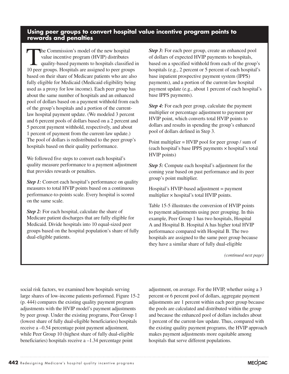## **Using peer groups to convert hospital value incentive program points to rewards and penalties**

The Commission's model of the new hospital<br>value incentive program (HVIP) distributes<br>quality-based payments to hospitals classifie value incentive program (HVIP) distributes quality-based payments to hospitals classified in 10 peer groups. Hospitals are assigned to peer groups based on their share of Medicare patients who are also fully eligible for Medicaid (Medicaid eligibility being used as a proxy for low income). Each peer group has about the same number of hospitals and an enhanced pool of dollars based on a payment withhold from each of the group's hospitals and a portion of the currentlaw hospital payment update. (We modeled 3 percent and 6 percent pools of dollars based on a 2 percent and 5 percent payment withhold, respectively, and about 1 percent of payment from the current-law update.) The pool of dollars is redistributed to the peer group's hospitals based on their quality performance.

We followed five steps to convert each hospital's quality measure performance to a payment adjustment that provides rewards or penalties.

*Step 1:* Convert each hospital's performance on quality measures to total HVIP points based on a continuous performance-to-points scale. Every hospital is scored on the same scale.

*Step 2:* For each hospital, calculate the share of Medicare patient discharges that are fully eligible for Medicaid. Divide hospitals into 10 equal-sized peer groups based on the hospital population's share of fully dual-eligible patients.

*Step 3:* For each peer group, create an enhanced pool of dollars of expected HVIP payments to hospitals, based on a specified withhold from each of the group's hospitals (e.g., 2 percent or 5 percent of each hospital's base inpatient prospective payment system (IPPS) payments), and a portion of the current-law hospital payment update (e.g., about 1 percent of each hospital's base IPPS payments).

*Step 4:* For each peer group, calculate the payment multiplier or percentage adjustment to payment per HVIP point, which converts total HVIP points to dollars and results in spending the group's enhanced pool of dollars defined in Step 3.

Point multiplier = HVIP pool for peer group / sum of (each hospital's base IPPS payments × hospital's total HVIP points)

*Step 5:* Compute each hospital's adjustment for the coming year based on past performance and its peer group's point multiplier.

Hospital's HVIP-based adjustment = payment multiplier × hospital's total HVIP points.

Table 15-5 illustrates the conversion of HVIP points to payment adjustments using peer grouping. In this example, Peer Group 1 has two hospitals, Hospital A and Hospital B. Hospital A has higher total HVIP performance compared with Hospital B. The two hospitals are assigned to the same peer group because they have a similar share of fully dual-eligible

*(continued next page)*

social risk factors, we examined how hospitals serving large shares of low-income patients performed. Figure 15-2 (p. 444) compares the existing quality payment program adjustments with the HVIP model's payment adjustments by peer group. Under the existing programs, Peer Group 1 (lowest share of fully dual-eligible beneficiaries) hospitals receive a –0.54 percentage point payment adjustment, while Peer Group 10 (highest share of fully dual-eligible beneficiaries) hospitals receive a –1.34 percentage point

adjustment, on average. For the HVIP, whether using a 3 percent or 6 percent pool of dollars, aggregate payment adjustments are 1 percent within each peer group because the pools are calculated and distributed within the group and because the enhanced pool of dollars includes about 1 percent of the current-law update. Thus, compared with the existing quality payment programs, the HVIP approach makes payment adjustments more equitable among hospitals that serve different populations.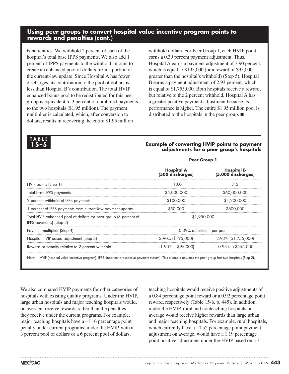## **Using peer groups to convert hospital value incentive program points to rewards and penalties (cont.)**

beneficiaries. We withhold 2 percent of each of the hospital's total base IPPS payments. We also add 1 percent of IPPS payments to the withhold amount to create an enhanced pool of dollars from a portion of the current-law update. Since Hospital A has fewer discharges, its contribution to the pool of dollars is less than Hospital B's contribution. The total HVIP enhanced bonus pool to be redistributed for this peer group is equivalent to 3 percent of combined payments to the two hospitals (\$1.95 million). The payment multiplier is calculated, which, after conversion to dollars, results in recovering the entire \$1.95 million

withhold dollars. For Peer Group 1, each HVIP point earns a 0.39 percent payment adjustment. Thus, Hospital A earns a payment adjustment of 3.90 percent, which is equal to \$195,000 (or a reward of \$95,000 greater than the hospital's withhold) (Step 5). Hospital B earns a payment adjustment of 2.93 percent, which is equal to \$1,755,000. Both hospitals receive a reward, but relative to the 2 percent withhold, Hospital A has a greater positive payment adjustment because its performance is higher. The entire \$1.95 million pool is distributed to the hospitals in the peer group. ■

| $5 - 5$                                                                                                                                                        | <b>Example of converting HVIP points to payment</b><br>adjustments for a peer group's hospitals |                                         |  |  |
|----------------------------------------------------------------------------------------------------------------------------------------------------------------|-------------------------------------------------------------------------------------------------|-----------------------------------------|--|--|
|                                                                                                                                                                | <b>Peer Group 1</b>                                                                             |                                         |  |  |
|                                                                                                                                                                | Hospital A<br>(500 discharges)                                                                  | <b>Hospital B</b><br>(5,000 discharges) |  |  |
| HVIP points (Step 1)                                                                                                                                           | 10.0                                                                                            | 7.5                                     |  |  |
| Total base IPPS payments                                                                                                                                       | \$5,000,000                                                                                     | \$60,000,000                            |  |  |
| 2 percent withhold of IPPS payments                                                                                                                            | \$100,000                                                                                       | \$1,200,000                             |  |  |
| 1 percent of IPPS payments from current-law payment update                                                                                                     | \$50,000                                                                                        | \$600,000                               |  |  |
| Total HVIP enhanced pool of dollars for peer group (3 percent of<br>IPPS payments) (Step 3)                                                                    | \$1,950,000                                                                                     |                                         |  |  |
| Payment multiplier (Step 4)                                                                                                                                    | 0.39% adjustment per point                                                                      |                                         |  |  |
| Hospital HVIP-based adjustment (Step 5)                                                                                                                        | 3.90% (\$195,000)                                                                               | 2.93% (\$1,755,000)                     |  |  |
| Reward or penalty relative to 2 percent withhold                                                                                                               | $+1.90\%$ (+\$95,000)                                                                           | $+0.93\%$ (+\$555,000)                  |  |  |
| HVIP (hospital value incentive program), IPPS (inpatient prospective payment system). This example assumes the peer group has two hospitals (Step 2).<br>Note: |                                                                                                 |                                         |  |  |

We also compared HVIP payments for other categories of hospitals with existing quality programs. Under the HVIP, large urban hospitals and major teaching hospitals would, on average, receive rewards rather than the penalties they receive under the current programs. For example, major teaching hospitals have  $a - 1.16$  percentage point penalty under current programs; under the HVIP, with a 3 percent pool of dollars or a 6 percent pool of dollars,

teaching hospitals would receive positive adjustments of a 0.84 percentage point reward or a 0.92 percentage point reward, respectively (Table 15-6, p. 445). In addition, under the HVIP, rural and nonteaching hospitals on average would receive higher rewards than large urban and major teaching hospitals. For example, rural hospitals, which currently have a –0.52 percentage point payment adjustment on average, would have a 1.19 percentage point positive adjustment under the HVIP based on a 3

**TABLE**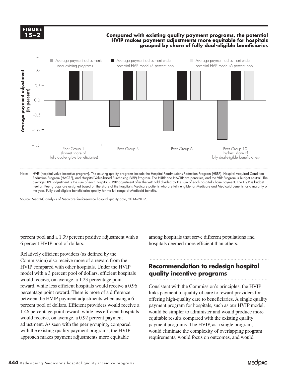**FIGURE 15–2**

**1-X**

#### **Compared with existing quality payment programs, the potential and the Compared with existing quality payment programs, the potential**  $\mathbf{F}$ **HVIP makes payment adjustments more equitable for hospitals grouped by share of fully dual-eligible beneficiaries**



Note: HVIP (hospital value incentive program). The existing quality programs include the Hospital Readmissions Reduction Program (HRRP), Hospital-Acquired Condition Reduction Program (HACRP), and Hospital Value-based Purchasing (VBP) Program. The HRRP and HACRP are penalties, and the VBP Program is budget neutral. The average HVIP adjustment is the sum of each hospital's HVIP adjustment after the withhold divided by the sum of each hospital's base payment. The HVIP is budget neutral. Peer groups are assigned based on the share of the hospital's Medicare patients who are fully eligible for Medicare and Medicaid benefits for a majority of the year. Fully dual-eligible beneficiaries qualify for the full range of Medicaid benefits.

Source: MedPAC analysis of Medicare fee-for-service hospital quality data, 2014–2017.

percent pool and a 1.39 percent positive adjustment with a 6 percent HVIP pool of dollars.

Relatively efficient providers (as defined by the Commission) also receive more of a reward from the HVIP compared with other hospitals. Under the HVIP model with a 3 percent pool of dollars, efficient hospitals would receive, on average, a 1.23 percentage point reward, while less efficient hospitals would receive a 0.96 percentage point reward. There is more of a difference between the HVIP payment adjustments when using a 6 percent pool of dollars. Efficient providers would receive a 1.46 percentage point reward, while less efficient hospitals would receive, on average, a 0.92 percent payment adjustment. As seen with the peer grouping, compared with the existing quality payment programs, the HVIP approach makes payment adjustments more equitable

among hospitals that serve different populations and hospitals deemed more efficient than others.

# **Recommendation to redesign hospital quality incentive programs**

Consistent with the Commission's principles, the HVIP links payment to quality of care to reward providers for offering high-quality care to beneficiaries. A single quality payment program for hospitals, such as our HVIP model, would be simpler to administer and would produce more equitable results compared with the existing quality payment programs. The HVIP, as a single program, would eliminate the complexity of overlapping program requirements, would focus on outcomes, and would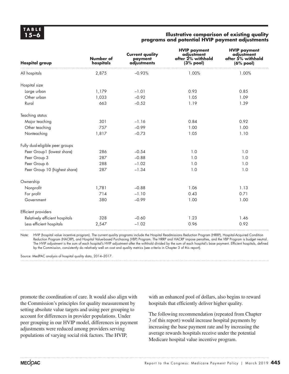#### **15–6 Illustrative comparison of existing quality programs and potential HVIP payment adjustments**

| <b>Hospital group</b>           | Number of<br>hospitals | <b>Current quality</b><br>payment<br>adjustments | <b>HVIP payment</b><br>adjustment<br>after 2% withhold<br>(3% pool) | <b>HVIP payment</b><br>adjustment<br>after 5% withhold<br>(6% pool) |
|---------------------------------|------------------------|--------------------------------------------------|---------------------------------------------------------------------|---------------------------------------------------------------------|
| All hospitals                   | 2,875                  | $-0.93%$                                         | 1.00%                                                               | 1.00%                                                               |
| Hospital size                   |                        |                                                  |                                                                     |                                                                     |
| Large urban                     | 1,179                  | $-1.01$                                          | 0.93                                                                | 0.85                                                                |
| Other urban                     | 1,033                  | $-0.92$                                          | 1.05                                                                | 1.09                                                                |
| Rural                           | 663                    | $-0.52$                                          | 1.19                                                                | 1.39                                                                |
| Teaching status                 |                        |                                                  |                                                                     |                                                                     |
| Major teaching                  | 301                    | $-1.16$                                          | 0.84                                                                | 0.92                                                                |
| Other teaching                  | 757                    | $-0.99$                                          | 1.00                                                                | 1.00                                                                |
| Nonteaching                     | 1,817                  | $-0.73$                                          | 1.05                                                                | 1.10                                                                |
| Fully dual-eligible peer groups |                        |                                                  |                                                                     |                                                                     |
| Peer Group1 (lowest share)      | 286                    | $-0.54$                                          | 1.0                                                                 | 1.0                                                                 |
| Peer Group 3                    | 287                    | $-0.88$                                          | 1.0                                                                 | 1.0                                                                 |
| Peer Group 6                    | 288                    | $-1.02$                                          | 1.0                                                                 | 1.0                                                                 |
| Peer Group 10 (highest share)   | 287                    | $-1.34$                                          | 1.0                                                                 | 1.0                                                                 |
| Ownership                       |                        |                                                  |                                                                     |                                                                     |
| Nonprofit                       | 1,781                  | $-0.88$                                          | 1.06                                                                | 1.13                                                                |
| For profit                      | 714                    | $-1.10$                                          | 0.43                                                                | 0.71                                                                |
| Government                      | 380                    | $-0.99$                                          | 1.00                                                                | 1.00                                                                |
| Efficient providers             |                        |                                                  |                                                                     |                                                                     |
| Relatively efficient hospitals  | 328                    | $-0.60$                                          | 1.23                                                                | 1.46                                                                |
| Less efficient hospitals        | 2,547                  | $-1.02$                                          | 0.96                                                                | 0.92                                                                |

Note: HVIP (hospital value incentive program). The current quality programs include the Hospital Readmissions Reduction Program (HRRP), Hospital-Acquired Condition Reduction Program (HACRP), and Hospital Value-based Purchasing (VBP) Program. The HRRP and HACRP impose penalties, and the VBP Program is budget neutral. The HVIP adjustment is the sum of each hospital's HVIP adjustment after the withhold divided by the sum of each hospital's base payment. Efficient hospitals, defined by the Commission, consistently do relatively well on cost and quality metrics (see criteria in Chapter 3 of this report).

Source: MedPAC analysis of hospital quality data, 2014–2017.

promote the coordination of care. It would also align with the Commission's principles for quality measurement by setting absolute value targets and using peer grouping to account for differences in provider populations. Under peer grouping in our HVIP model, differences in payment adjustments were reduced among providers serving populations of varying social risk factors. The HVIP,

with an enhanced pool of dollars, also begins to reward hospitals that efficiently deliver higher quality.

The following recommendation (repeated from Chapter 3 of this report) would increase hospital payments by increasing the base payment rate and by increasing the average rewards hospitals receive under the potential Medicare hospital value incentive program.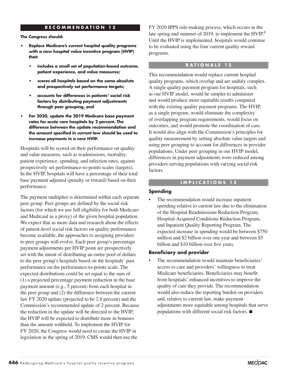#### **RECOMMENDATION 15**

**The Congress should:**

- **• Replace Medicare's current hospital quality programs with a new hospital value incentive program (HVIP) that:**
	- **• includes a small set of population-based outcome, patient experience, and value measures;**
	- **• scores all hospitals based on the same absolute and prospectively set performance targets;**
	- **• accounts for differences in patients' social risk factors by distributing payment adjustments through peer grouping, and**
- **• For 2020, update the 2019 Medicare base payment rates for acute care hospitals by 2 percent. The difference between the update recommendation and the amount specified in current law should be used to increase payments in a new HVIP.**

Hospitals will be scored on their performance on quality and value measures, such as readmissions, mortality, patient experience, spending, and infection rates, against prospectively set performance-to-points scales (targets). In the HVIP, hospitals will have a percentage of their total base payment adjusted (penalty or reward) based on their performance.

The payment multiplier is determined within each separate peer group. Peer groups are defined by the social risk factors (for which we use full eligibility for both Medicare and Medicaid as a proxy) of the given hospital population. We expect that as more data and research about the effects of patient-level social risk factors on quality performance become available, the approaches to assigning providers to peer groups will evolve. Each peer group's percentage payment adjustments per HVIP point are prospectively set with the intent of distributing an entire pool of dollars to the peer group's hospitals based on the hospitals' past performance on the performance-to-points scale. The expected distributions could be set equal to the sum of (1) a projected percentage payment reduction in the base payment amount (e.g., 5 percent) from each hospital in the peer group and (2) the difference between the current law FY 2020 update (projected to be 2.8 percent) and the Commission's recommended update of 2 percent. Because the reduction in the update will be directed to the HVIP, the HVIP will be expected to distribute more in bonuses than the amount withheld. To implement the HVIP for FY 2020, the Congress would need to create the HVIP in legislation in the spring of 2019. CMS would then use the

FY 2020 IPPS rule-making process, which occurs in the late spring and summer of 2019, to implement the HVIP.<sup>8</sup> Until the HVIP is implemented, hospitals would continue to be evaluated using the four current quality reward programs.

#### **RATIONALE 15**

This recommendation would replace current hospital quality programs, which overlap and are unduly complex. A single quality payment program for hospitals, such as our HVIP model, would be simpler to administer and would produce more equitable results compared with the existing quality payment programs. The HVIP, as a single program, would eliminate the complexity of overlapping program requirements, would focus on outcomes, and would promote the coordination of care. It would also align with the Commission's principles for quality measurement by setting absolute value targets and using peer grouping to account for differences in provider populations. Under peer grouping in our HVIP model, differences in payment adjustments were reduced among providers serving populations with varying social risk factors.

#### **IMPLICATIONS 15**

#### **Spending**

The recommendation would increase inpatient spending relative to current law due to the elimination of the Hospital Readmissions Reduction Program, Hospital-Acquired Conditions Reduction Program, and Inpatient Quality Reporting Program. The expected increase in spending would be between \$750 million and \$2 billion over one year and between \$5 billion and \$10 billion over five years.

#### **Beneficiary and provider**

The recommendation would maintain beneficiaries' access to care and providers' willingness to treat Medicare beneficiaries. Beneficiaries may benefit from hospitals' enhanced incentives to improve the quality of care they provide. The recommendation would also reduce the reporting burden on providers and, relative to current law, make payment adjustments more equitable among hospitals that serve populations with different social risk factors. ■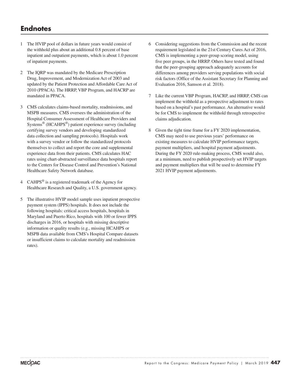# **Endnotes**

- 1 The HVIP pool of dollars in future years would consist of the withhold plus about an additional 0.8 percent of base inpatient and outpatient payments, which is about 1.0 percent of inpatient payments.
- 2 The IQRP was mandated by the Medicare Prescription Drug, Improvement, and Modernization Act of 2003 and updated by the Patient Protection and Affordable Care Act of 2010 (PPACA). The HRRP, VBP Program, and HACRP are mandated in PPACA.
- 3 CMS calculates claims-based mortality, readmissions, and MSPB measures. CMS oversees the administration of the Hospital Consumer Assessment of Healthcare Providers and Systems® (HCAHPS®) patient experience survey (including certifying survey vendors and developing standardized data collection and sampling protocols). Hospitals work with a survey vendor or follow the standardized protocols themselves to collect and report the core and supplemental experience data from their patients. CMS calculates HAC rates using chart-abstracted surveillance data hospitals report to the Centers for Disease Control and Prevention's National Healthcare Safety Network database.
- 4 CAHPS $^{\circledR}$  is a registered trademark of the Agency for Healthcare Research and Quality, a U.S. government agency.
- 5 The illustrative HVIP model sample uses inpatient prospective payment system (IPPS) hospitals. It does not include the following hospitals: critical access hospitals, hospitals in Maryland and Puerto Rico, hospitals with 100 or fewer IPPS discharges in 2016, or hospitals with missing descriptive information or quality results (e.g., missing HCAHPS or MSPB data available from CMS's Hospital Compare datasets or insufficient claims to calculate mortality and readmission rates).
- 6 Considering suggestions from the Commission and the recent requirement legislated in the 21st Century Cures Act of 2016, CMS is implementing a peer-group scoring model, using five peer groups, in the HRRP. Others have tested and found that the peer-grouping approach adequately accounts for differences among providers serving populations with social risk factors (Office of the Assistant Secretary for Planning and Evaluation 2016, Samson et al. 2018).
- 7 Like the current VBP Program, HACRP, and HRRP, CMS can implement the withhold as a prospective adjustment to rates based on a hospital's past performance. An alternative would be for CMS to implement the withhold through retrospective claims adjudication.
- 8 Given the tight time frame for a FY 2020 implementation, CMS may need to use previous years' performance on existing measures to calculate HVIP performance targets, payment multipliers, and hospital payment adjustments. During the FY 2020 rule-making process, CMS would also, at a minimum, need to publish prospectively set HVIP targets and payment multipliers that will be used to determine FY 2021 HVIP payment adjustments.